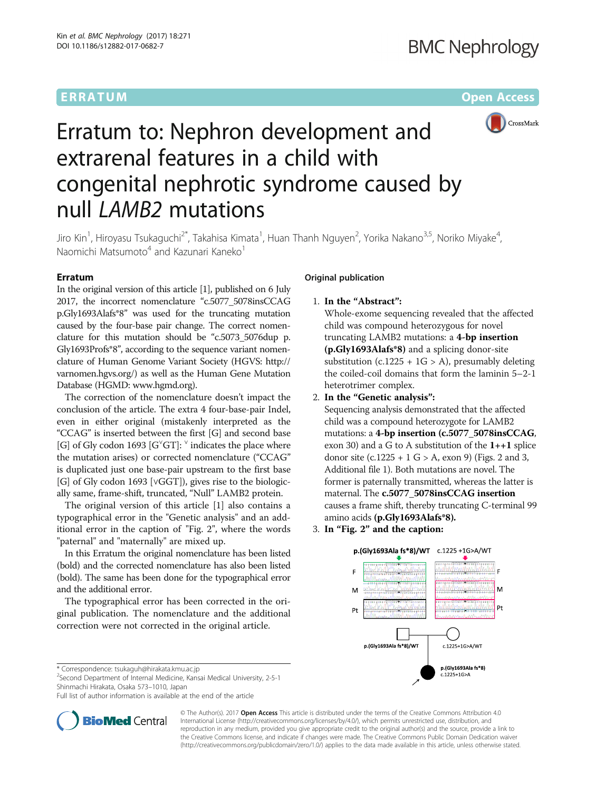# ERRATUM ERRA TUM Open Access



# Erratum to: Nephron development and extrarenal features in a child with congenital nephrotic syndrome caused by null LAMB2 mutations

Jiro Kin<sup>1</sup>, Hiroyasu Tsukaguchi<sup>2\*</sup>, Takahisa Kimata<sup>1</sup>, Huan Thanh Nguyen<sup>2</sup>, Yorika Nakano<sup>3,5</sup>, Noriko Miyake<sup>4</sup> , Naomichi Matsumoto<sup>4</sup> and Kazunari Kaneko<sup>1</sup>

# Erratum

In the original version of this article [[1](#page-1-0)], published on 6 July 2017, the incorrect nomenclature "c.5077\_5078insCCAG p.Gly1693Alafs\*8" was used for the truncating mutation caused by the four-base pair change. The correct nomenclature for this mutation should be "c.5073\_5076dup p. Gly1693Profs\*8", according to the sequence variant nomenclature of Human Genome Variant Society (HGVS: [http://](http://varnomen.hgvs.org/) [varnomen.hgvs.org/](http://varnomen.hgvs.org/)) as well as the Human Gene Mutation Database (HGMD: [www.hgmd.org](http://www.hgmd.org)).

The correction of the nomenclature doesn't impact the conclusion of the article. The extra 4 four-base-pair Indel, even in either original (mistakenly interpreted as the "CCAG" is inserted between the first [G] and second base [G] of Gly codon 1693 [G<sup>'</sup>GT]: <sup>v</sup> indicates the place where the mutation arises) or corrected nomenclature ("CCAG" is duplicated just one base-pair upstream to the first base [G] of Gly codon 1693 [∨GGT]), gives rise to the biologically same, frame-shift, truncated, "Null" LAMB2 protein.

The original version of this article [\[1\]](#page-1-0) also contains a typographical error in the "Genetic analysis" and an additional error in the caption of "Fig. 2", where the words "paternal" and "maternally" are mixed up.

In this Erratum the original nomenclature has been listed (bold) and the corrected nomenclature has also been listed (bold). The same has been done for the typographical error and the additional error.

The typographical error has been corrected in the original publication. The nomenclature and the additional correction were not corrected in the original article.

# Original publication

1. In the "Abstract":

Whole-exome sequencing revealed that the affected child was compound heterozygous for novel truncating LAMB2 mutations: a 4-bp insertion (p.Gly1693Alafs\*8) and a splicing donor-site substitution (c.1225 +  $1G > A$ ), presumably deleting the coiled-coil domains that form the laminin 5–2-1 heterotrimer complex.

2. In the "Genetic analysis":

Sequencing analysis demonstrated that the affected child was a compound heterozygote for LAMB2 mutations: a 4-bp insertion (c.5077\_5078insCCAG, exon 30) and a G to A substitution of the  $1++1$  splice donor site  $(c.1225 + 1 \text{ G} > A,$  exon 9) (Figs. 2 and 3, Additional file 1). Both mutations are novel. The former is paternally transmitted, whereas the latter is maternal. The c.5077\_5078insCCAG insertion causes a frame shift, thereby truncating C-terminal 99 amino acids (p.Gly1693Alafs\*8).

3. In "Fig. 2" and the caption:



<sup>2</sup>Second Department of Internal Medicine, Kansai Medical University, 2-5-1 Shinmachi Hirakata, Osaka 573–1010, Japan

Full list of author information is available at the end of the article



© The Author(s). 2017 **Open Access** This article is distributed under the terms of the Creative Commons Attribution 4.0 International License [\(http://creativecommons.org/licenses/by/4.0/](http://creativecommons.org/licenses/by/4.0/)), which permits unrestricted use, distribution, and reproduction in any medium, provided you give appropriate credit to the original author(s) and the source, provide a link to the Creative Commons license, and indicate if changes were made. The Creative Commons Public Domain Dedication waiver [\(http://creativecommons.org/publicdomain/zero/1.0/](http://creativecommons.org/publicdomain/zero/1.0/)) applies to the data made available in this article, unless otherwise stated.

<sup>\*</sup> Correspondence: [tsukaguh@hirakata.kmu.ac.jp](mailto:tsukaguh@hirakata.kmu.ac.jp) <sup>2</sup>